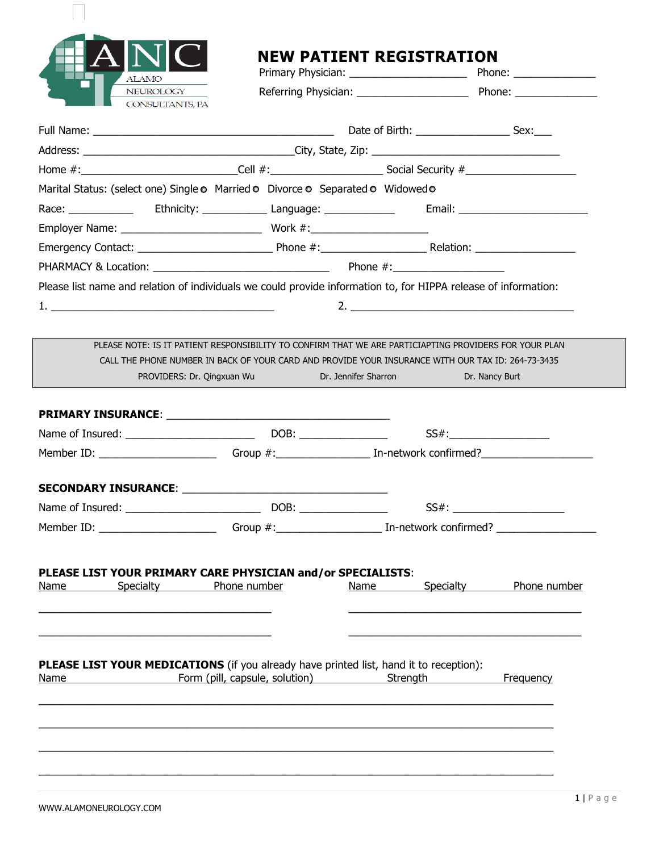| <b>ALAMO</b>                               |
|--------------------------------------------|
| <b>NEUROLOGY</b><br><b>CONSULTANTS, PA</b> |

## **NEW PATIENT REGISTRATION**<br>Primary Physician: Phone: Primary Physician:

| - 77<br><b>ALAMO</b>                |                                                                                                                                                                                                       |                                 |                           |
|-------------------------------------|-------------------------------------------------------------------------------------------------------------------------------------------------------------------------------------------------------|---------------------------------|---------------------------|
| NEUROLOGY<br><b>CONSULTANTS, PA</b> |                                                                                                                                                                                                       |                                 |                           |
|                                     |                                                                                                                                                                                                       |                                 |                           |
|                                     |                                                                                                                                                                                                       |                                 |                           |
|                                     |                                                                                                                                                                                                       |                                 |                           |
|                                     |                                                                                                                                                                                                       |                                 |                           |
|                                     | Marital Status: (select one) Single o Married o Divorce o Separated o Widowed o                                                                                                                       |                                 |                           |
|                                     |                                                                                                                                                                                                       |                                 |                           |
|                                     |                                                                                                                                                                                                       |                                 |                           |
|                                     |                                                                                                                                                                                                       |                                 |                           |
|                                     |                                                                                                                                                                                                       |                                 |                           |
|                                     | PLEASE NOTE: IS IT PATIENT RESPONSIBILITY TO CONFIRM THAT WE ARE PARTICIAPTING PROVIDERS FOR YOUR PLAN                                                                                                |                                 |                           |
|                                     | CALL THE PHONE NUMBER IN BACK OF YOUR CARD AND PROVIDE YOUR INSURANCE WITH OUR TAX ID: 264-73-3435<br>PROVIDERS: Dr. Qingxuan Wu Dr. Jennifer Sharron                                                 |                                 | Dr. Nancy Burt            |
|                                     |                                                                                                                                                                                                       |                                 |                           |
|                                     |                                                                                                                                                                                                       |                                 | SS#:_____________________ |
|                                     |                                                                                                                                                                                                       |                                 |                           |
|                                     |                                                                                                                                                                                                       |                                 |                           |
|                                     |                                                                                                                                                                                                       |                                 |                           |
|                                     |                                                                                                                                                                                                       |                                 |                           |
|                                     | Member ID: ___________________________Group #:___________________________________ In-network confirmed? ______________________________<br>PLEASE LIST YOUR PRIMARY CARE PHYSICIAN and/or SPECIALISTS: |                                 |                           |
| <b>Specialty</b><br><u>Name</u>     | Phone number                                                                                                                                                                                          | <b>Specialty</b><br><b>Name</b> | Phone number              |

 $\overline{a_1}$  , and the set of the set of the set of the set of the set of the set of the set of the set of the set of the set of the set of the set of the set of the set of the set of the set of the set of the set of the se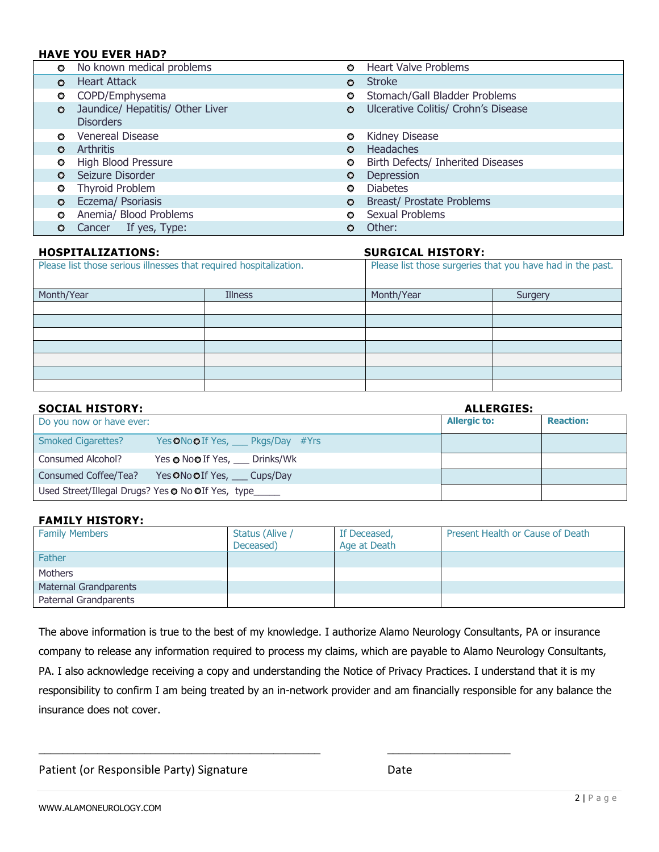### **HAVE YOU EVER HAD?**

| $\circ$   | No known medical problems                            | O       | <b>Heart Valve Problems</b>         |
|-----------|------------------------------------------------------|---------|-------------------------------------|
| $\bullet$ | <b>Heart Attack</b>                                  | $\circ$ | <b>Stroke</b>                       |
| $\circ$   | COPD/Emphysema                                       | O       | Stomach/Gall Bladder Problems       |
| $\circ$   | Jaundice/ Hepatitis/ Other Liver<br><b>Disorders</b> | $\circ$ | Ulcerative Colitis/ Crohn's Disease |
| $\circ$   | Venereal Disease                                     | O       | <b>Kidney Disease</b>               |
| $\circ$   | Arthritis                                            | $\circ$ | <b>Headaches</b>                    |
| o         | High Blood Pressure                                  | o       | Birth Defects/ Inherited Diseases   |
| $\circ$   | Seizure Disorder                                     | O       | Depression                          |
| $\circ$   | <b>Thyroid Problem</b>                               | O       | <b>Diabetes</b>                     |
| $\bullet$ | Eczema/ Psoriasis                                    | $\circ$ | <b>Breast/ Prostate Problems</b>    |
| $\circ$   | Anemia/ Blood Problems                               | o       | Sexual Problems                     |
| $\circ$   | Cancer If yes, Type:                                 | O       | Other:                              |

| <b>HOSPITALIZATIONS:</b>                                           |                | <b>SURGICAL HISTORY:</b> |                                                            |
|--------------------------------------------------------------------|----------------|--------------------------|------------------------------------------------------------|
| Please list those serious illnesses that required hospitalization. |                |                          | Please list those surgeries that you have had in the past. |
| Month/Year                                                         | <b>Illness</b> | Month/Year               | Surgery                                                    |
|                                                                    |                |                          |                                                            |
|                                                                    |                |                          |                                                            |
|                                                                    |                |                          |                                                            |
|                                                                    |                |                          |                                                            |
|                                                                    |                |                          |                                                            |
|                                                                    |                |                          |                                                            |
|                                                                    |                |                          |                                                            |

| <b>SOCIAL HISTORY:</b>                                 |                                            | <b>ALLERGIES:</b>   |                  |
|--------------------------------------------------------|--------------------------------------------|---------------------|------------------|
| Do you now or have ever:                               |                                            | <b>Allergic to:</b> | <b>Reaction:</b> |
| <b>Smoked Cigarettes?</b>                              | Yes ONo OIf Yes, ____ Pkgs/Day #Yrs        |                     |                  |
| Consumed Alcohol?                                      | Yes <b>o</b> No <b>o</b> If Yes, Drinks/Wk |                     |                  |
| Consumed Coffee/Tea?                                   | Yes ONo OIf Yes, Cups/Day                  |                     |                  |
| Used Street/Illegal Drugs? Yes • No OIf Yes, type_____ |                                            |                     |                  |

### **FAMILY HISTORY:**

| <b>Family Members</b> | Status (Alive /<br>Deceased) | If Deceased,<br>Age at Death | Present Health or Cause of Death |
|-----------------------|------------------------------|------------------------------|----------------------------------|
| Father                |                              |                              |                                  |
| <b>Mothers</b>        |                              |                              |                                  |
| Maternal Grandparents |                              |                              |                                  |
| Paternal Grandparents |                              |                              |                                  |

The above information is true to the best of my knowledge. I authorize Alamo Neurology Consultants, PA or insurance company to release any information required to process my claims, which are payable to Alamo Neurology Consultants, PA. I also acknowledge receiving a copy and understanding the Notice of Privacy Practices. I understand that it is my responsibility to confirm I am being treated by an in-network provider and am financially responsible for any balance the insurance does not cover.

\_\_\_\_\_\_\_\_\_\_\_\_\_\_\_\_\_\_\_\_\_\_\_\_\_\_\_\_\_\_\_\_\_\_\_\_\_\_\_\_\_\_\_\_\_\_\_\_ \_\_\_\_\_\_\_\_\_\_\_\_\_\_\_\_\_\_\_\_\_

Patient (or Responsible Party) Signature **Date** Date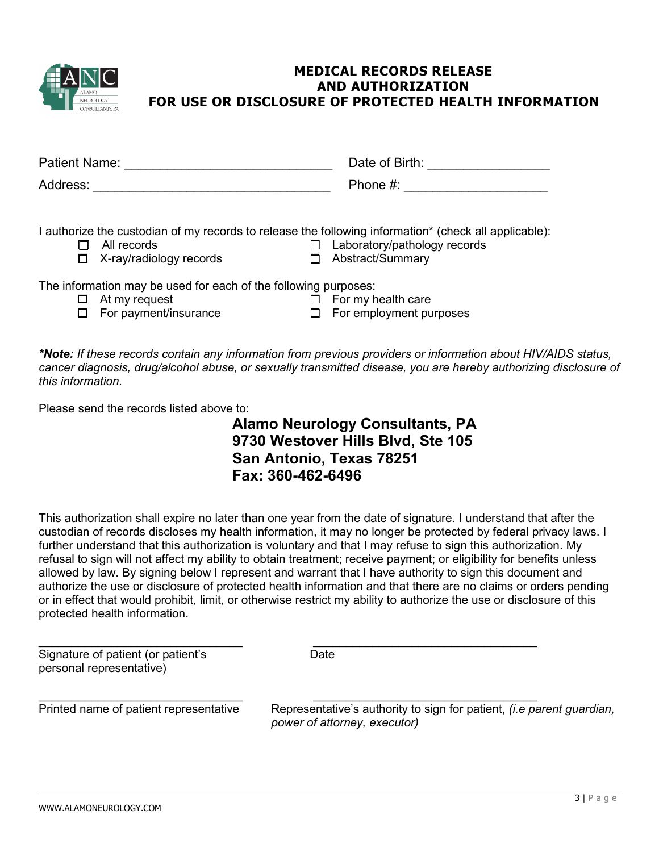

## **MEDICAL RECORDS RELEASE AND AUTHORIZATION FOR USE OR DISCLOSURE OF PROTECTED HEALTH INFORMATION**

| Patient Name:                                                                                                       | Date of Birth:                                                                                                                                            |
|---------------------------------------------------------------------------------------------------------------------|-----------------------------------------------------------------------------------------------------------------------------------------------------------|
| Address:                                                                                                            | Phone #:                                                                                                                                                  |
| All records<br>X-ray/radiology records<br>□                                                                         | I authorize the custodian of my records to release the following information* (check all applicable):<br>Laboratory/pathology records<br>Abstract/Summary |
| The information may be used for each of the following purposes:<br>At my request<br>ப<br>For payment/insurance<br>□ | For my health care<br>For employment purposes                                                                                                             |
|                                                                                                                     | *Netal If these reserve contain only information from provieus providers or information about UIN/A                                                       |

*\*Note: If these records contain any information from previous providers or information about HIV/AIDS status, cancer diagnosis, drug/alcohol abuse, or sexually transmitted disease, you are hereby authorizing disclosure of this information.*

Please send the records listed above to:

**Alamo Neurology Consultants, PA 9730 Westover Hills Blvd, Ste 105 San Antonio, Texas 78251 Fax: 360-462-6496** 

This authorization shall expire no later than one year from the date of signature. I understand that after the custodian of records discloses my health information, it may no longer be protected by federal privacy laws. I further understand that this authorization is voluntary and that I may refuse to sign this authorization. My refusal to sign will not affect my ability to obtain treatment; receive payment; or eligibility for benefits unless allowed by law. By signing below I represent and warrant that I have authority to sign this document and authorize the use or disclosure of protected health information and that there are no claims or orders pending or in effect that would prohibit, limit, or otherwise restrict my ability to authorize the use or disclosure of this protected health information.

| Signature of patient (or patient's<br>personal representative) | Date                                                                                                         |
|----------------------------------------------------------------|--------------------------------------------------------------------------------------------------------------|
| Printed name of patient representative                         | Representative's authority to sign for patient, <i>(i.e parent guardian,</i><br>power of attorney, executor) |